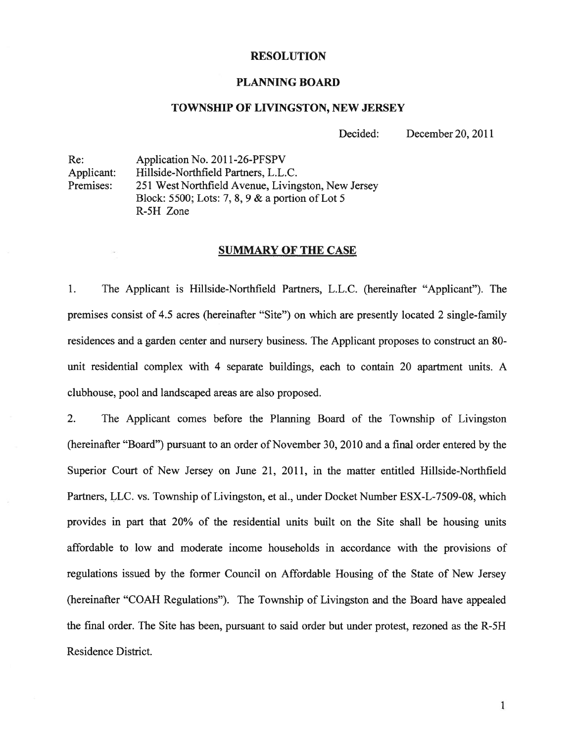#### RESOLUTION

#### PLANNING BOARD

#### TOWNSHIP OF LIVINGSTON, NEW JERSEY

Decided: December 20, 2011

Re: Application No. 2011-26-PFSPV Applicant: Hillside-Northfield Partners, L.L.C. Premises: 251 West Northfield Avenue, Livingston, New Jersey Block: 5500; Lots: 7, 8, 9 & <sup>a</sup> portion of Lot 5 R-5H Zone

#### **SUMMARY OF THE CASE**

1. The Applicant is Hillside-Northfield Partners, L.L.C. (hereinafter "Applicant"). The premises consist of 4.5 acres (hereinafter "Site") on which are presently located 2 single-family residences and <sup>a</sup> garden center and nursery business. The Applicant proposes to construct an 80 unit residential complex with 4 separate buildings, each to contain 20 apartment units. A clubhouse, pool and landscaped areas are also proposed.

2. The Applicant comes before the Planning Board of the Township of Livingston (hereinafter "Board") pursuan<sup>t</sup> to an order of November 30, 2010 and <sup>a</sup> final order entered by the Superior Court of New Jersey on June 21, 2011, in the matter entitled Hillside-Northfield Partners, LLC. vs. Township of Livingston, et al., under Docket Number ESX-L-7509-08, which provides in par<sup>t</sup> that 20% of the residential units built on the Site shall be housing units affordable to low and moderate income households in accordance with the provisions of regulations issued by the former Council on Affordable Housing of the State of New Jersey (hereinafter "COAH Regulations"). The Township of Livingston and the Board have appealed the final order. The Site has been, pursuan<sup>t</sup> to said order but under protest, rezoned as the R-5H Residence District.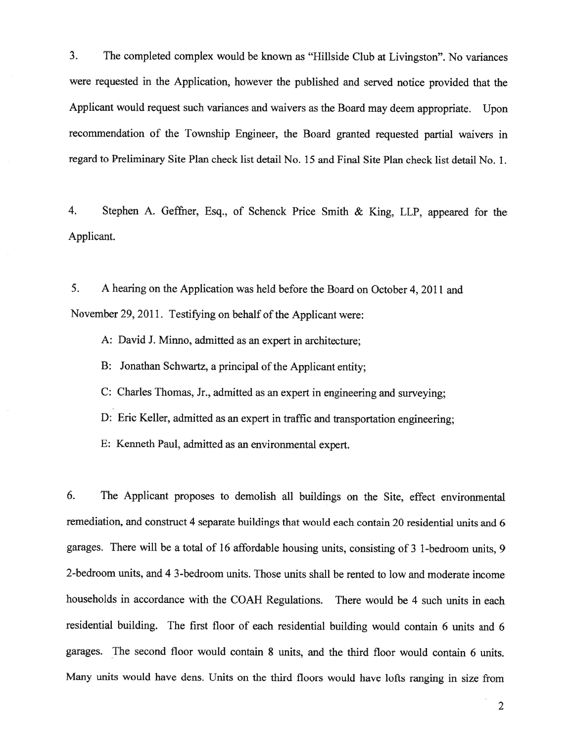3. The completed complex would be known as "Hillside Club at Livingston". No variances were requested in the Application, however the published and served notice provided that the Applicant would reques<sup>t</sup> such variances and waivers as the Board may deem appropriate. Upon recommendation of the Township Engineer, the Board granted requested partial waivers in regard to Preliminary Site Plan check list detail No. 15 and Final Site Plan check list detail No. 1.

4. Stephen A. Geffner, Esq., of Schenck Price Smith & King, LLP, appeare<sup>d</sup> for the Applicant.

5. A hearing on the Application was held before the Board on October 4, 2011 and November 29, 2011. Testifying on behalf of the Applicant were:

A: David J. Minno, admitted as an exper<sup>t</sup> in architecture;

B: Jonathan Schwartz, a principal of the Applicant entity;

C: Charles Thomas, Jr., admitted as an exper<sup>t</sup> in engineering and surveying;

D: Eric Keller, admitted as an exper<sup>t</sup> in traffic and transportation engineering;

E: Kenneth Paul, admitted as an environmental expert.

6. The Applicant proposes to demolish all buildings on the Site, effect environmental remediation, and construct <sup>4</sup> separate buildings that would each contain 20 residential units and <sup>6</sup> garages. There will be <sup>a</sup> total of <sup>16</sup> affordable housing units, consisting of <sup>3</sup> 1-bedroom units, <sup>9</sup> 2-bedroom units, and 4 3-bedroom units. Those units shall be rented to low and moderate income households in accordance with the COAH Regulations. There would be <sup>4</sup> such units in each residential building. The first floor of each residential building would contain <sup>6</sup> units and <sup>6</sup> garages. The second floor would contain 8 units, and the third floor would contain 6 units. Many units would have dens. Units on the third floors would have lofts ranging in size from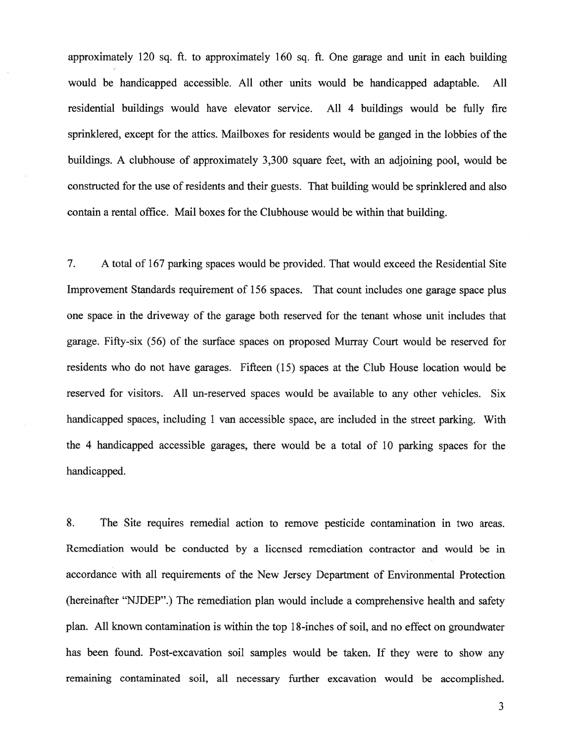approximately 120 sq. ft. to approximately 160 sq. ft. One garage and unit in each building would be handicapped accessible. All other units would be handicapped adaptable. All residential buildings would have elevator service. All 4 buildings would be fully fire sprinklered, excep<sup>t</sup> for the attics. Mailboxes for residents would be ganged in the lobbies of the buildings. A clubhouse of approximately 3,300 square feet, with an adjoining pool, would be constructed for the use of residents and their guests. That building would be sprinklered and also contain <sup>a</sup> rental office. Mail boxes for the Clubhouse would be within that building.

7. A total of 167 parking spaces would be provided. That would exceed the Residential Site Improvement Standards requirement of 156 spaces. That count includes one garage space plus one space in the driveway of the garage both reserved for the tenant whose unit includes that garage. Fifty-six (56) of the surface spaces on proposed Murray Court would be reserved for residents who do not have garages. Fifteen (15) spaces at the Club House location would be reserved for visitors. All un-reserved spaces would be available to any other vehicles. Six handicapped spaces, including 1 van accessible space, are included in the street parking. With the 4 handicapped accessible garages, there would be <sup>a</sup> total of 10 parking spaces for the handicapped.

8. The Site requires remedial action to remove pesticide contamination in two areas. Remediation would be conducted by <sup>a</sup> licensed remediation contractor and would be in accordance with all requirements of the New Jersey Department of Environmental Protection (hereinafter "NJDEP".) The remediation plan would include <sup>a</sup> comprehensive health and safety plan. All known contamination is within the top 18-inches of soil, and no effect on groundwater has been found. Post-excavation soil samples would be taken. If they were to show any remaining contaminated soil, all necessary further excavation would be accomplished.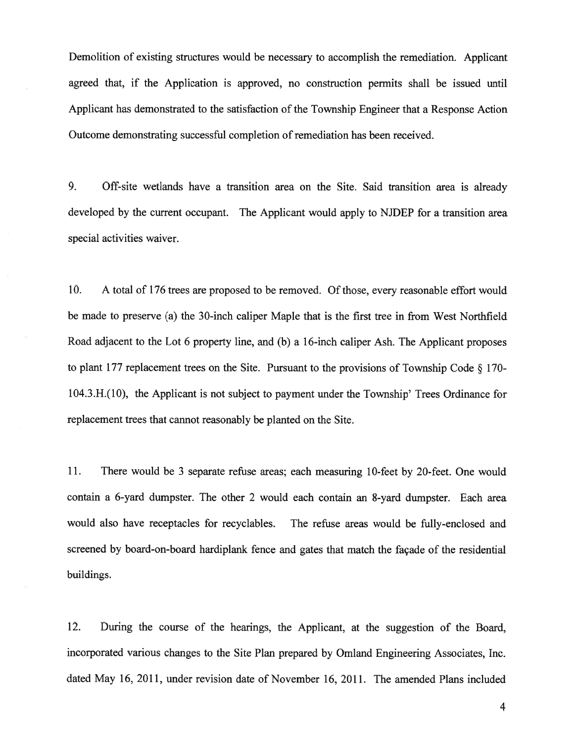Demolition of existing structures would be necessary to accomplish the remediation. Applicant agreed that, if the Application is approved, no construction permits shall be issued until Applicant has demonstrated to the satisfaction of the Township Engineer that <sup>a</sup> Response Action Outcome demonstrating successful completion of remediation has been received.

9. Off-site wetlands have <sup>a</sup> transition area on the Site. Said transition area is already developed by the current occupant. The Applicant would apply to NJDEP for a transition area special activities waiver.

10. A total of 176 trees are proposed to be removed. Of those, every reasonable effort would be made to preserve (a) the 30-inch caliper Maple that is the first tree in from West Northfield Road adjacent to the Lot <sup>6</sup> property line, and (b) <sup>a</sup> 16-inch caliper Ash. The Applicant proposes to plant 177 replacement trees on the Site. Pursuant to the provisions of Township Code  $\S$  170-104.3.H.(10), the Applicant is not subject to paymen<sup>t</sup> under the Township' Trees Ordinance for replacement trees that cannot reasonably be planted on the Site.

11. There would be <sup>3</sup> separate refuse areas; each measuring 10-feet by 20-feet. One would contain <sup>a</sup> 6-yard dumpster. The other <sup>2</sup> would each contain an 8-yard dumpster. Each area would also have receptacles for recyclables. The refuse areas would be fully-enclosed and screened by board-on-board hardiplank fence and gates that match the façade of the residential buildings.

12. During the course of the hearings, the Applicant, at the suggestion of the Board, incorporated various changes to the Site Plan prepared by Omland Engineering Associates, Inc. dated May 16, 2011, under revision date of November 16, 2011. The amended Plans included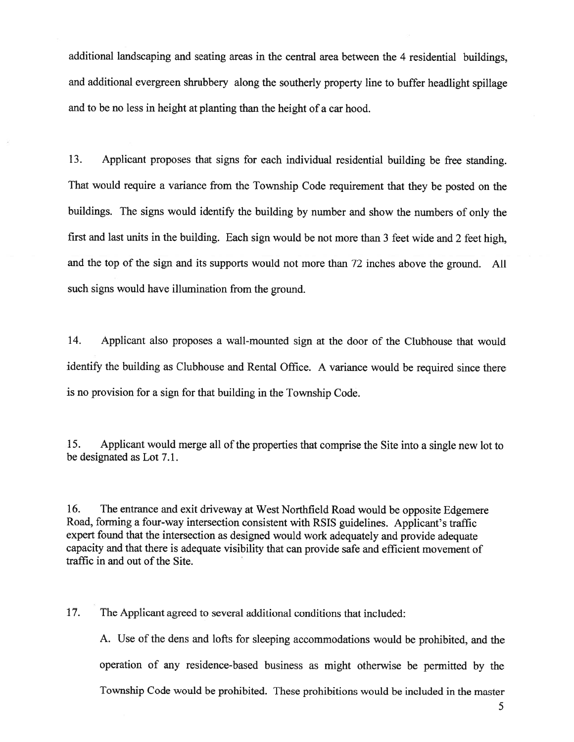additional landscaping and seating areas in the central area between the <sup>4</sup> residential buildings, and additional evergreen shrubbery along the southerly property line to buffer headlight spillage and to be no less in height at planting than the height of <sup>a</sup> car hood.

13. Applicant proposes that signs for each individual residential building be free standing. That would require <sup>a</sup> variance from the Township Code requirement that they be posted on the buildings. The signs would identify the building by number and show the numbers of only the first and last units in the building. Each sign would be not more than <sup>3</sup> feet wide and <sup>2</sup> feet high, and the top of the sign and its supports would not more than <sup>72</sup> inches above the ground. All such signs would have illumination from the ground.

14. Applicant also proposes <sup>a</sup> wall-mounted sign at the door of the Clubhouse that would identify the building as Clubhouse and Rental Office. <sup>A</sup> variance would be required since there is no provision for <sup>a</sup> sign for that building in the Township Code.

15. Applicant would merge all of the properties that comprise the Site into a single new lot to be designated as Lot 7.1.

16. The entrance and exit driveway at West Northfield Road would be opposite Edgemere Road, forming <sup>a</sup> four-way intersection consistent with RSIS guidelines. Applicant's traffic exper<sup>t</sup> found that the intersection as designed would work adequately and provide adequate capacity and that there is adequate visibility that can provide safe and efficient movement of traffic in and out of the Site.

17. The Applicant agreed to several additional conditions that included:

A. Use of the dens and lofts for sleeping accommodations would be prohibited, and the operation of any residence-based business as might otherwise be permitted by the Township Code would be prohibited. These prohibitions would be included in the master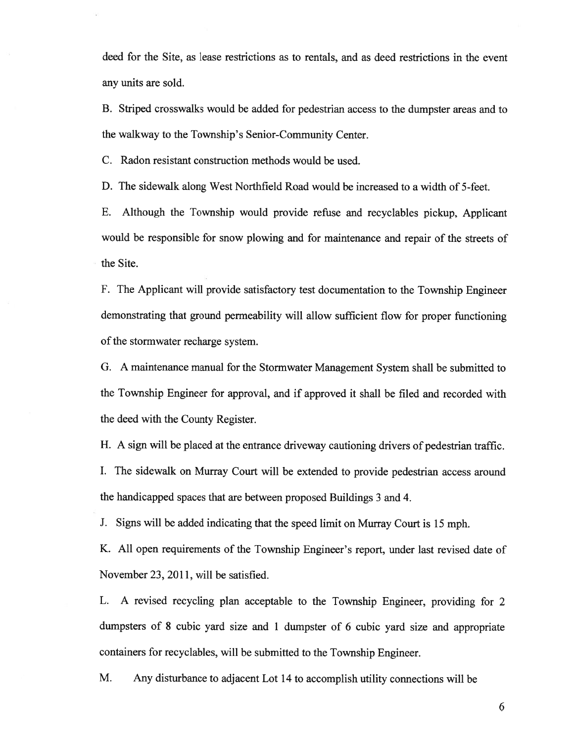deed for the Site, as lease restrictions as to rentals, and as deed restrictions in the event any units are sold.

B. Striped crosswalks would be added for pedestrian access to the dumpster areas and to the walkway to the Township's Senior-Community Center.

C. Radon resistant construction methods would be used.

D. The sidewalk along West Northfield Road would be increased to <sup>a</sup> width of 5-feet.

E. Although the Township would provide refuse and recyclables <sup>p</sup>ickup, Applicant would be responsible for snow <sup>p</sup>lowing and for maintenance and repair of the streets of the Site.

F. The Applicant will provide satisfactory test documentation to the Township Engineer demonstrating that groun<sup>d</sup> permeability will allow sufficient flow for proper functioning of the stormwater recharge system.

G. <sup>A</sup> maintenance manual for the Stormwater Management System shall be submitted to the Township Engineer for approval, and if approved it shall be filed and recorded with the deed with the County Register.

H. <sup>A</sup> sign will be <sup>p</sup>laced at the entrance driveway cautioning drivers of pedestrian traffic. I. The sidewalk on Murray Court will be extended to provide pedestrian access around the handicapped spaces that are between proposed Buildings 3 and 4.

J. Signs will be added indicating that the speed limit on Murray Court is 15 mph.

K. All open requirements of the Township Engineer's report, under last revised date of November 23, 2011, will be satisfied.

L. <sup>A</sup> revised recycling <sup>p</sup>lan acceptable to the Township Engineer, providing for <sup>2</sup> dumpsters of <sup>8</sup> cubic yar<sup>d</sup> size and <sup>1</sup> dumpster of <sup>6</sup> cubic yar<sup>d</sup> size and appropriate containers for recyclables, will be submitted to the Township Engineer.

M. Any disturbance to adjacent Lot <sup>14</sup> to accomplish utility connections will be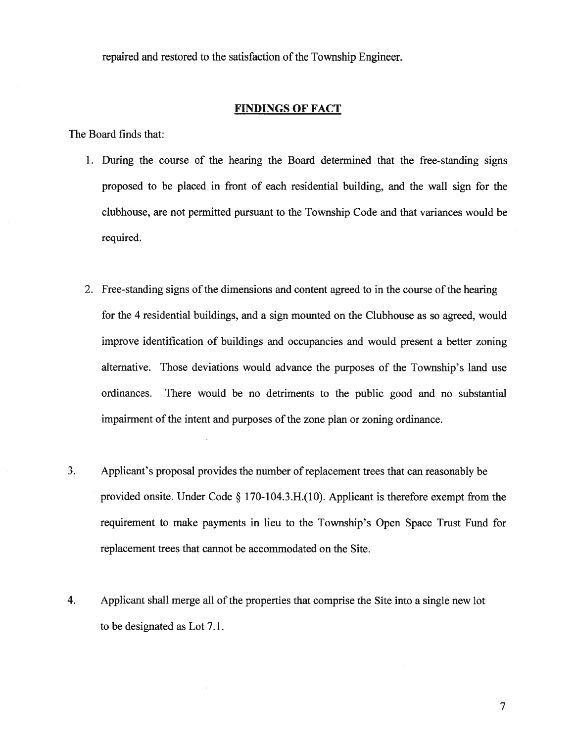repaired and restored to the satisfaction of the Township Engineer.

#### FINDINGS OF FACT

The Board finds that:

- 1. During the course of the hearing the Board determined that the free-standing signs proposed to be placed in front of each residential building, and the wall sign for the clubhouse, are not permitted pursuan<sup>t</sup> to the Township Code and that variances would be required.
- 2. Free-standing signs of the dimensions and content agreed to in the course of the hearing for the 4 residential buildings, and <sup>a</sup> sign mounted on the Clubhouse as so agreed, would improve identification of buildings and occupancies and would presen<sup>t</sup> <sup>a</sup> better zoning alternative. Those deviations would advance the purposes of the Township's land use ordinances. There would be no detriments to the public good and no substantial impairment of the intent and purposes of the zone plan or zoning ordinance.
- 3. Applicant's proposal provides the number of replacement trees that can reasonably be provided onsite. Under Code  $\S$  170-104.3.H.(10). Applicant is therefore exempt from the requirement to make payments in lieu to the Township's Open Space Trust Fund for replacement trees that cannot be accommodated on the Site.
- 4. Applicant shall merge all of the properties that comprise the Site into <sup>a</sup> single new lot to be designated as Lot 7.1.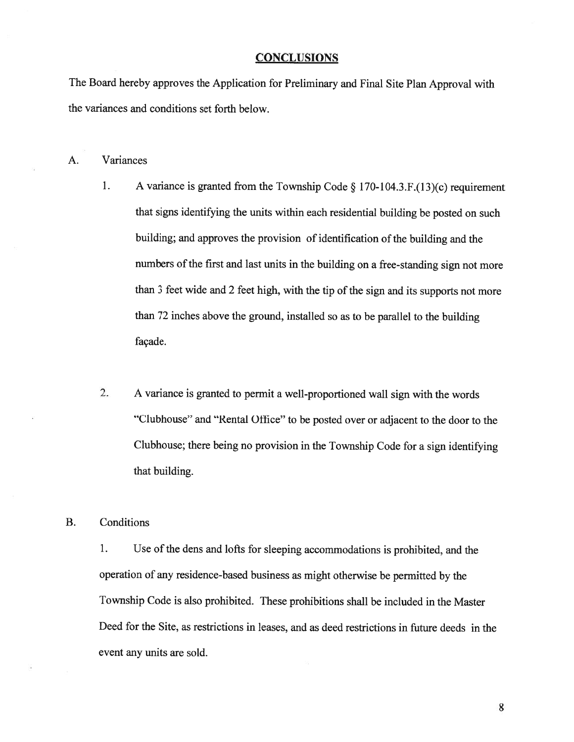#### **CONCLUSIONS**

The Board hereby approves the Application for Preliminary and Final Site Plan Approval with the variances and conditions set forth below.

- A. Variances
	- 1. <sup>A</sup> variance is granted from the Township Code § 170-104.3.F.(13)(c) requirement that signs identifying the units within each residential building be posted on such building; and approves the provision of identification of the building and the numbers of the first and last units in the building on <sup>a</sup> free-standing sign not more than 3 feet wide and 2 feet high, with the tip of the sign and its supports not more than <sup>72</sup> inches above the ground, installed so as to be parallel to the building façade.
	- 2. <sup>A</sup> variance is granted to permit <sup>a</sup> well-proportioned wall sign with the words "Clubhouse" and "Rental Office" to be posted over or adjacent to the door to the Clubhouse; there being no provision in the Township Code for <sup>a</sup> sign identifying that building.

B. Conditions

1. Use of the dens and lofts for sleeping accommodations is prohibited, and the operation of any residence-based business as might otherwise be permitted by the Township Code is also prohibited. These prohibitions shall be included in the Master Deed for the Site, as restrictions in leases, and as deed restrictions in future deeds in the event any units are sold.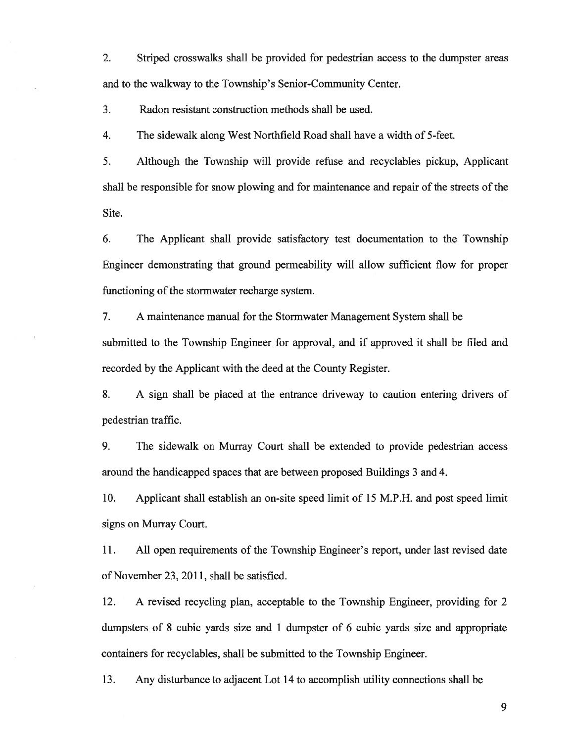2. Striped crosswalks shall be provided for pedestrian access to the dumpster areas and to the walkway to the Township's Senior-Community Center.

3. Radon resistant construction methods shall be used.

4. The sidewalk along West Northfield Road shall have <sup>a</sup> width of 5-feet.

5. Although the Township will provide refuse and recyclables pickup, Applicant shall be responsible for snow plowing and for maintenance and repair of the streets of the Site.

6. The Applicant shall provide satisfactory test documentation to the Township Engineer demonstrating that ground permeability will allow sufficient flow for proper functioning of the stormwater recharge system.

7. A maintenance manual for the Stormwater Management System shall be submitted to the Township Engineer for approval, and if approved it shall be filed and recorded by the Applicant with the deed at the County Register.

8. A sign shall be placed at the entrance driveway to caution entering drivers of pedestrian traffic.

9. The sidewalk on Murray Court shall be extended to provide pedestrian access around the handicapped spaces that are between proposed Buildings 3 and 4.

10. Applicant shall establish an on-site speed limit of 15 M.P.H. and pos<sup>t</sup> speed limit signs on Murray Court.

11. All open requirements of the Township Engineer's report, under last revised date of November 23, 2011, shall be satisfied.

12. A revised recycling plan, acceptable to the Township Engineer, providing for 2 dumpsters of 8 cubic yards size and 1 dumpster of 6 cubic yards size and appropriate containers for recyclables, shall be submitted to the Township Engineer.

13. Any disturbance to adjacent Lot 14 to accomplish utility connections shall be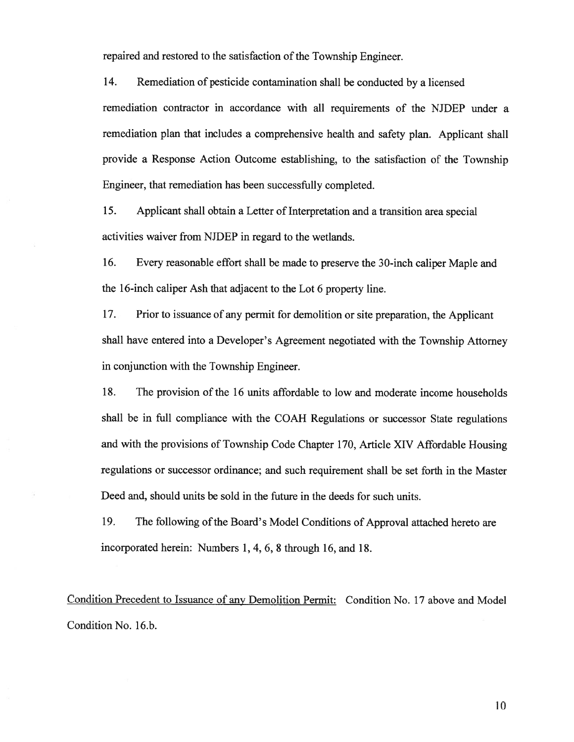repaired and restored to the satisfaction of the Township Engineer.

14. Remediation of pesticide contamination shall be conducted by <sup>a</sup> licensed

remediation contractor in accordance with all requirements of the NJDEP under <sup>a</sup> remediation <sup>p</sup>lan that includes <sup>a</sup> comprehensive health and safety <sup>p</sup>lan. Applicant shall provide <sup>a</sup> Response Action Outcome establishing, to the satisfaction of the Township Engineer, that remediation has been successfully completed.

15. Applicant shall obtain <sup>a</sup> Letter of Interpretation and <sup>a</sup> transition area special activities waiver from NJDEP in regard to the wetlands.

16. Every reasonable effort shall be made to preserve the 30-inch caliper Maple and the 16-inch caliper Ash that adjacent to the Lot 6 property line.

17. Prior to issuance of any permit for demolition or site preparation, the Applicant shall have entered into <sup>a</sup> Developer's Agreement negotiated with the Township Attorney in conjunction with the Township Engineer.

18. The provision of the 16 units affordable to low and moderate income households shall be in full compliance with the COAH Regulations or successor State regulations and with the provisions of Township Code Chapter 170, Article XIV Affordable Housing regulations or successor ordinance; and such requirement shall be set forth in the Master Deed and, should units be sold in the future in the deeds for such units.

19. The following of the Board's Model Conditions of Approval attached hereto are incorporated herein: Numbers 1, 4, 6, 8 through 16, and 18.

Condition Precedent to Issuance of any Demolition Permit: Condition No. 17 above and Model Condition No. 16.b.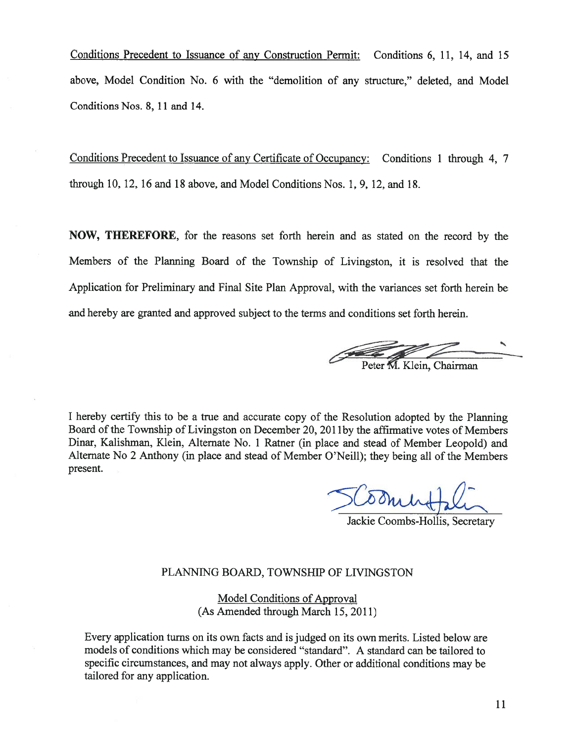Conditions Precedent to Issuance of any Construction Permit: Conditions 6, 11, 14, and 15 above, Model Condition No. 6 with the "demolition of any structure," deleted, and Model Conditions Nos. 8, 11 and 14.

Conditions Precedent to Issuance of any Certificate of Occupancy: Conditions 1 through 4, 7 through 10, 12, 16 and 18 above, and Model Conditions Nos. 1, 9, 12, and 18.

NOW, THEREFORE, for the reasons set forth herein and as stated on the record by the Members of the Planning Board of the Township of Livingston, it is resolved that the Application for Preliminary and Final Site Plan Approval, with the variances set forth herein be and hereby are granted and approved subject to the terms and conditions set forth herein.

Klein, Chairman

<sup>I</sup> hereby certify this to be <sup>a</sup> true and accurate copy of the Resolution adopted by the Planning Board of the Township of Livingston on December 20, 2011 by the affirmative votes of Members Dinar, Kalishman, Klein, Alternate No. <sup>1</sup> Ratner (in <sup>p</sup>lace and stead of Member Leopold) and Alternate No <sup>2</sup> Anthony (in <sup>p</sup>lace and stead of Member O'Neill); they being all of the Members present.

Jackie Coombs-Hollis, Secretary

## PLANNING BOARD, TOWNSHIP OF LIVINGSTON

Model Conditions of Approval (As Amended through March 15, 2011)

Every application turns on its own facts and is judged on its own merits. Listed below are models of conditions which may be considered "standard". A standard can be tailored to specific circumstances, and may not always apply. Other or additional conditions may be tailored for any application.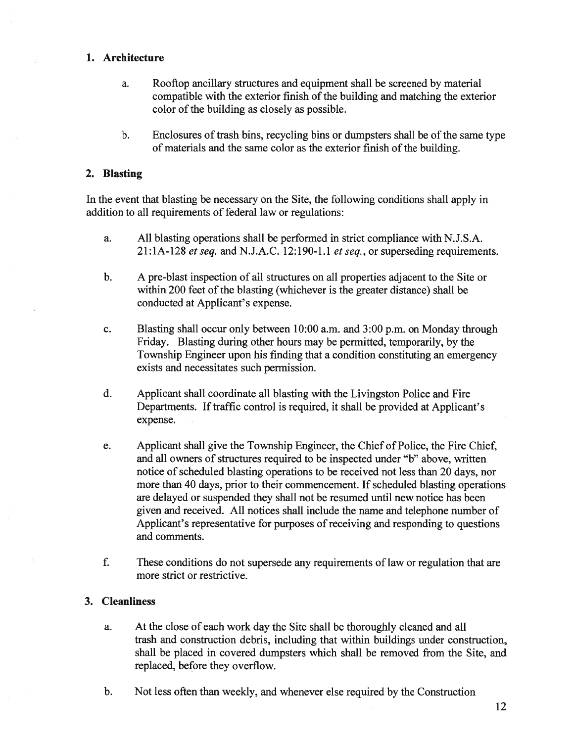## 1. Architecture

- a. Rooftop ancillary structures and equipment shall be screened by material compatible with the exterior finish of the building and matching the exterior color of the building as closely as possible.
- b. Enclosures of trash bins, recycling bins or dumpsters shall be of the same type of materials and the same color as the exterior finish of the building.

## 2. Blasting

In the event that blasting be necessary on the Site, the following conditions shall apply in addition to all requirements of federal law or regulations:

- a. All blasting operations shall be performed in strict compliance with N.J.S.A.  $21:1A-128$  et seq. and N.J.A.C. 12:190-1.1 et seq., or superseding requirements.
- b. A pre-blast inspection of all structures on all properties adjacent to the Site or within 200 feet of the blasting (whichever is the greater distance) shall be conducted at Applicant's expense.
- c. Blasting shall occur only between 10:00 a.m. and 3:00 p.m. on Monday through Friday. Blasting during other hours may be permitted, temporarily, by the Township Engineer upon his finding that <sup>a</sup> condition constituting an emergency exists and necessitates such permission.
- d. Applicant shall coordinate all blasting with the Livingston Police and Fire Departments. If traffic control is required, it shall be provided at Applicant's expense.
- e. Applicant shall give the Township Engineer, the Chief of Police, the Fire Chief, and all owners of structures required to be inspected under "b" above, written notice of scheduled blasting operations to be received not less than 20 days, nor more than 40 days, prior to their commencement. If scheduled blasting operations are delayed or suspended they shall not be resumed until new notice has been given and received. All notices shall include the name and telephone number of Applicant's representative for purposes of receiving and responding to questions and comments.
- f. These conditions do not supersede any requirements of law or regulation that are more strict or restrictive.

## 3. Cleanliness

- a. At the close of each work day the Site shall be thoroughly cleaned and all trash and construction debris, including that within buildings under construction, shall be placed in covered dumpsters which shall be removed from the Site, and replaced, before they overflow.
- b. Not less often than weekly, and whenever else required by the Construction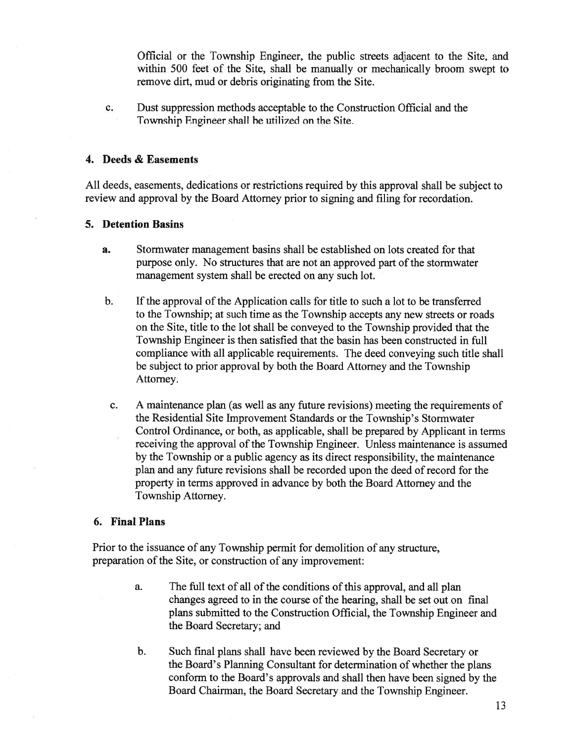Official or the Township Engineer, the public streets adjacent to the Site, and within 500 feet of the Site, shall be manually or mechanically broom swep<sup>t</sup> to remove dirt, mud or debris originating from the Site.

c. Dust suppression methods acceptable to the Construction Official and the Township Engineer shall be utilized on the Site.

#### 4. Deeds & Easements

All deeds, easements, dedications or restrictions required by this approval shall be subject to review and approval by the Board Attorney prior to signing and filing for recordation.

#### 5. Detention Basins

- a. Stormwater managemen<sup>t</sup> basins shall be established on lots created for that purpose only. No structures that are not an approved part of the stormwater managemen<sup>t</sup> system shall be erected on any such lot.
- b. Ifthe approval of the Application calls for title to such <sup>a</sup> lot to be transferred to the Township; at such time as the Township accepts any new streets or roads on the Site, title to the lot shall be conveyed to the Township provided that the Township Engineer is then satisfied that the basin has been constructed in full compliance with all applicable requirements. The deed conveying such title shall be subject to prior approval by both the Board Attorney and the Township Attorney.
- c. A maintenance plan (as well as any future revisions) meeting the requirements of the Residential Site Improvement Standards or the Township's Stormwater Control Ordinance, or both, as applicable, shall be prepared by Applicant in terms receiving the approval of the Township Engineer. Unless maintenance is assumed by the Township or <sup>a</sup> public agency as its direct responsibility, the maintenance plan and any future revisions shall be recorded upon the deed of record for the property in terms approved in advance by both the Board Attorney and the Township Attorney.

#### 6. Final Plans

Prior to the issuance of any Township permit for demolition of any structure, preparation of the Site, or construction of any improvement:

- a. The full text of all of the conditions of this approval, and all plan changes agreed to in the course of the hearing, shall be set out on final plans submitted to the Construction Official, the Township Engineer and the Board Secretary; and
- b. Such final plans shall have been reviewed by the Board Secretary or the Board's Planning Consultant for determination of whether the <sup>p</sup>lans conform to the Board's approvals and shall then have been signed by the Board Chairman, the Board Secretary and the Township Engineer.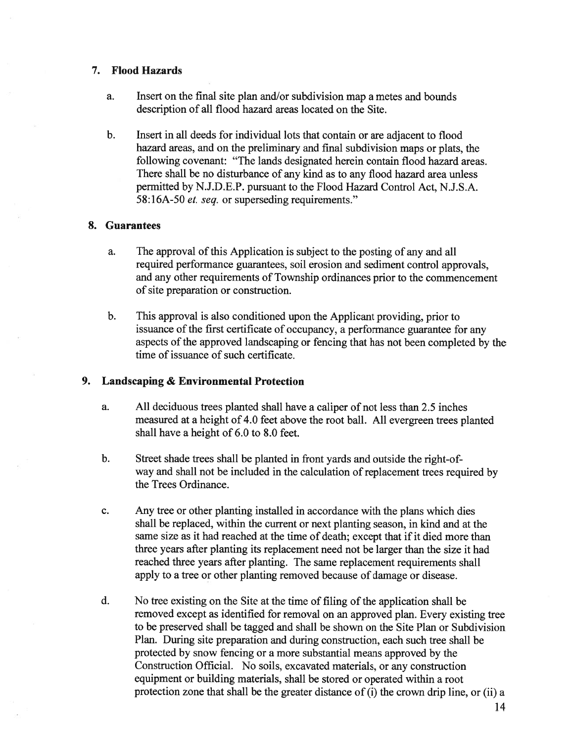## 7. Flood Hazards

- a. Insert on the final site plan and/or subdivision map <sup>a</sup> metes and bounds description of all flood hazard areas located on the Site.
- b. Insert in all deeds for individual lots that contain or are adjacent to flood hazard areas, and on the preliminary and final subdivision maps or plats, the following covenant: "The lands designated herein contain flood hazard areas. There shall be no disturbance of any kind as to any flood hazard area unless permitted by N.J.D.E.P. pursuan<sup>t</sup> to the Flood Hazard Control Act, N.J.S.A. 58:16A-50 et. seq. or superseding requirements."

### 8. Guarantees

- a. The approval of this Application is subject to the posting of any and all required performance guarantees, soil erosion and sediment control approvals, and any other requirements of Township ordinances prior to the commencement of site preparation or construction.
- b. This approval is also conditioned upon the Applicant providing, prior to issuance of the first certificate of occupancy, a performance guarantee for any aspects of the approved landscaping or fencing that has not been completed by the time of issuance of such certificate.

## 9. Landscaping & Environmental Protection

- a. All deciduous trees planted shall have <sup>a</sup> caliper of not less than 2.5 inches measured at <sup>a</sup> height of 4.0 feet above the root ball. All evergreen trees planted shall have <sup>a</sup> height of 6.0 to 8.0 feet.
- b. Street shade trees shall be <sup>p</sup>lanted in front yards and outside the right-ofway and shall not be included in the calculation of replacement trees required by the Trees Ordinance.
- c. Any tree or other planting installed in accordance with the plans which dies shall be replaced, within the current or next planting season, in kind and at the same size as it had reached at the time of death; excep<sup>t</sup> that if it died more than three years after planting its replacement need not be larger than the size it had reached three years after planting. The same replacement requirements shall apply to <sup>a</sup> tree or other planting removed because of damage or disease.
- d. No tree existing on the Site at the time of filing of the application shall be removed excep<sup>t</sup> as identified for removal on an approved <sup>p</sup>lan. Every existing tree to be preserved shall be tagged and shall be shown on the Site Plan or Subdivision Plan. During site preparation and during construction, each such tree shall be protected by snow fencing or <sup>a</sup> more substantial means approved by the Construction Official. No soils, excavated materials, or any construction equipment or building materials, shall be stored or operated within <sup>a</sup> root protection zone that shall be the greater distance of (i) the crown drip line, or (ii) <sup>a</sup>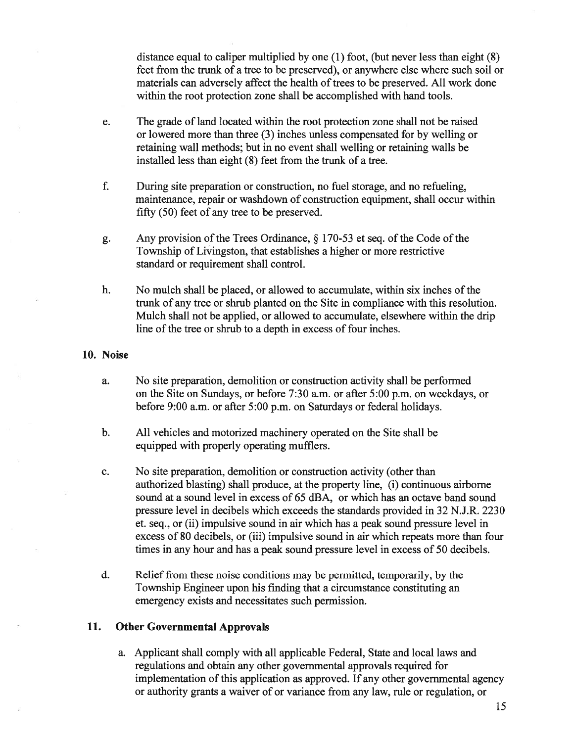distance equal to caliper multiplied by one (1) foot, (but never less than eight (8) feet from the trunk of <sup>a</sup> tree to be preserved), or anywhere else where such soil or materials can adversely affect the health of trees to be preserved. All work done within the root protection zone shall be accomplished with hand tools.

- e. The grade of land located within the root protection zone shall not be raised or lowered more than three (3) inches unless compensated for by welling or retaining wall methods; but in no event shall welling or retaining walls be installed less than eight (8) feet from the trunk of <sup>a</sup> tree.
- f. During site preparation or construction, no fuel storage, and no refueling, maintenance, repair or washdown of construction equipment, shall occur within fifty (50) feet of any tree to be preserved.
- g. Any provision of the Trees Ordinance,  $\S$  170-53 et seq. of the Code of the Township of Livingston, that establishes <sup>a</sup> higher or more restrictive standard or requirement shall control.
- h. No mulch shall be placed, or allowed to accumulate, within six inches of the trunk of any tree or shrub planted on the Site in compliance with this resolution. Mulch shall not be applied, or allowed to accumulate, elsewhere within the drip line of the tree or shrub to a depth in excess of four inches.

#### 10. Noise

- a. No site preparation, demolition or construction activity shall be performed on the Site on Sundays, or before 7:30 a.m. or after 5:00 p.m. on weekdays, or before 9:00 a.m. or after 5:00 p.m. on Saturdays or federal holidays.
- b. All vehicles and motorized machinery operated on the Site shall be equipped with properly operating mufflers.
- c. No site preparation, demolition or construction activity (other than authorized blasting) shall produce, at the property line, (i) continuous airborne sound at <sup>a</sup> sound level in excess of 65 dBA, or which has an octave band sound pressure level in decibels which exceeds the standards provided in 32 N.J.R. 2230 et. seq., or (ii) impulsive sound in air which has <sup>a</sup> peak sound pressure level in excess of 80 decibels, or (iii) impulsive sound in air which repeats more than four times in any hour and has <sup>a</sup> peak sound pressure level in excess of 50 decibels.
- d. Relief from these noise conditions may be permitted, temporarily, by the Township Engineer upon his finding that <sup>a</sup> circumstance constituting an emergency exists and necessitates such permission.

#### 11. Other Governmental Approvals

a. Applicant shall comply with all applicable Federal, State and local laws and regulations and obtain any other governmental approvals required for implementation of this application as approved. If any other governmental agency or authority grants <sup>a</sup> waiver of or variance from any law, rule or regulation, or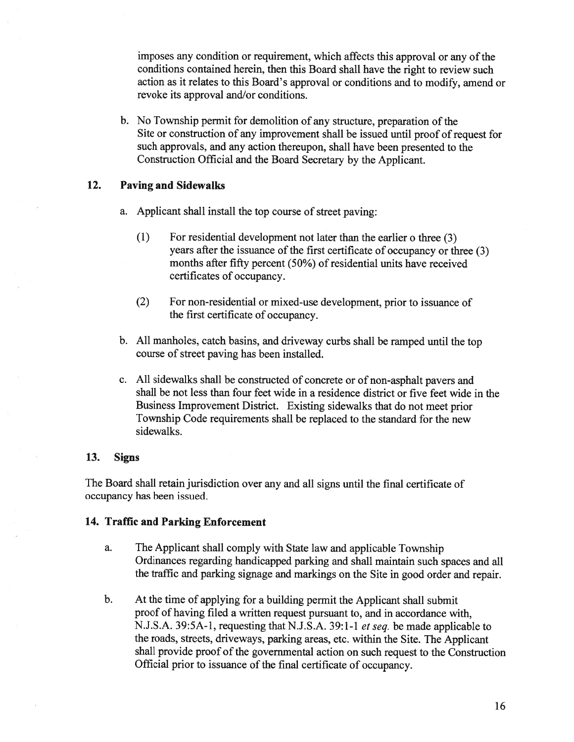imposes any condition or requirement, which affects this approval or any of the conditions contained herein, then this Board shall have the right to review such action as it relates to this Board's approva<sup>l</sup> or conditions and to modify, amend or revoke its approval and/or conditions.

b. No Township permit for demolition of any structure, preparation of the Site or construction of any improvement shall be issued until proo<sup>f</sup> of reques<sup>t</sup> for such approvals, and any action thereupon, shall have been presented to the Construction Official and the Board Secretary by the Applicant.

## 12. Paving and Sidewalks

- a. Applicant shall install the top course of street paving:
	- (1) For residential development not later than the earlier <sup>o</sup> three (3) years after the issuance of the first certificate of occupancy or three (3) months after fifty percent (50%) of residential units have received certificates of occupancy.
	- (2) For non-residential or mixed-use development, prior to issuance of the first certificate of occupancy.
- b. All manholes, catch basins, and driveway curbs shall be rampe<sup>d</sup> until the top course of street paving has been installed.
- c. All sidewalks shall be constructed of concrete or of non-asphalt payers and shall be not less than four feet wide in <sup>a</sup> residence district or five feet wide in the Business Improvement District. Existing sidewalks that do not meet prior Township Code requirements shall be replaced to the standard for the new sidewalks.

## 13. Signs

The Board shall retain jurisdiction over any and all signs until the final certificate of occupancy has been issued.

# 14. Traffic and Parking Enforcement

- a. The Applicant shall comply with State law and applicable Township Ordinances regarding handicapped parking and shall maintain such spaces and all the traffic and parking signage and markings on the Site in goo<sup>d</sup> order and repair.
- b. At the time of applying for <sup>a</sup> building permit the Applicant shall submit proof of having filed <sup>a</sup> written reques<sup>t</sup> pursuan<sup>t</sup> to, and in accordance with, N.J.S.A. 39:5A-1, requesting that N.J.S.A. 39:1-1 *et seq.* be made applicable to the roads, streets, driveways, parking areas, etc. within the Site. The Applicant shall provide proo<sup>f</sup> of the governmental action on such reques<sup>t</sup> to the Construction Official prior to issuance of the final certificate of occupancy.